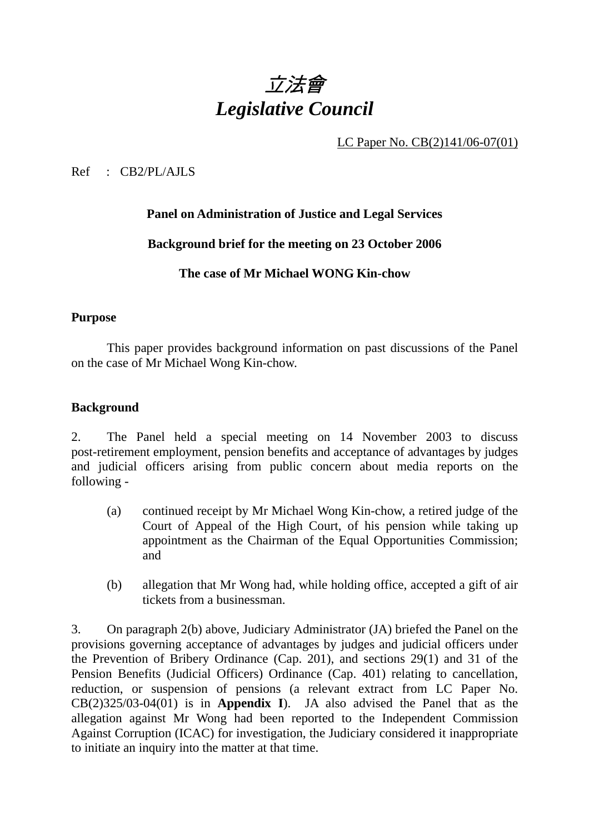

LC Paper No. CB(2)141/06-07(01)

Ref : CB2/PL/AJLS

#### **Panel on Administration of Justice and Legal Services**

#### **Background brief for the meeting on 23 October 2006**

### **The case of Mr Michael WONG Kin-chow**

#### **Purpose**

This paper provides background information on past discussions of the Panel on the case of Mr Michael Wong Kin-chow.

#### **Background**

2. The Panel held a special meeting on 14 November 2003 to discuss post-retirement employment, pension benefits and acceptance of advantages by judges and judicial officers arising from public concern about media reports on the following -

- (a) continued receipt by Mr Michael Wong Kin-chow, a retired judge of the Court of Appeal of the High Court, of his pension while taking up appointment as the Chairman of the Equal Opportunities Commission; and
- (b) allegation that Mr Wong had, while holding office, accepted a gift of air tickets from a businessman.

3. On paragraph 2(b) above, Judiciary Administrator (JA) briefed the Panel on the provisions governing acceptance of advantages by judges and judicial officers under the Prevention of Bribery Ordinance (Cap. 201), and sections 29(1) and 31 of the Pension Benefits (Judicial Officers) Ordinance (Cap. 401) relating to cancellation, reduction, or suspension of pensions (a relevant extract from LC Paper No. CB(2)325/03-04(01) is in **Appendix I**). JA also advised the Panel that as the allegation against Mr Wong had been reported to the Independent Commission Against Corruption (ICAC) for investigation, the Judiciary considered it inappropriate to initiate an inquiry into the matter at that time.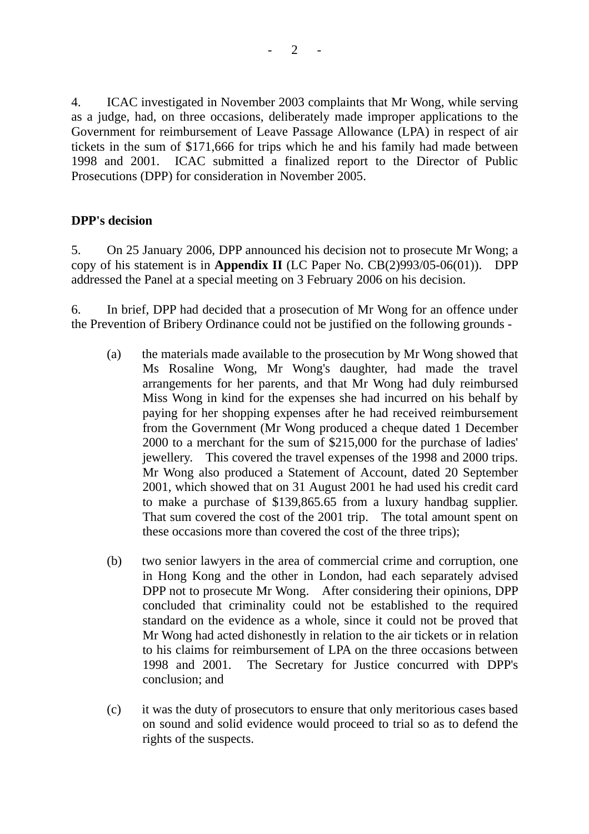4. ICAC investigated in November 2003 complaints that Mr Wong, while serving as a judge, had, on three occasions, deliberately made improper applications to the Government for reimbursement of Leave Passage Allowance (LPA) in respect of air tickets in the sum of \$171,666 for trips which he and his family had made between 1998 and 2001. ICAC submitted a finalized report to the Director of Public Prosecutions (DPP) for consideration in November 2005.

## **DPP's decision**

5. On 25 January 2006, DPP announced his decision not to prosecute Mr Wong; a copy of his statement is in **Appendix II** (LC Paper No. CB(2)993/05-06(01)). DPP addressed the Panel at a special meeting on 3 February 2006 on his decision.

6. In brief, DPP had decided that a prosecution of Mr Wong for an offence under the Prevention of Bribery Ordinance could not be justified on the following grounds -

- (a) the materials made available to the prosecution by Mr Wong showed that Ms Rosaline Wong, Mr Wong's daughter, had made the travel arrangements for her parents, and that Mr Wong had duly reimbursed Miss Wong in kind for the expenses she had incurred on his behalf by paying for her shopping expenses after he had received reimbursement from the Government (Mr Wong produced a cheque dated 1 December 2000 to a merchant for the sum of \$215,000 for the purchase of ladies' jewellery. This covered the travel expenses of the 1998 and 2000 trips. Mr Wong also produced a Statement of Account, dated 20 September 2001, which showed that on 31 August 2001 he had used his credit card to make a purchase of \$139,865.65 from a luxury handbag supplier. That sum covered the cost of the 2001 trip. The total amount spent on these occasions more than covered the cost of the three trips);
- (b) two senior lawyers in the area of commercial crime and corruption, one in Hong Kong and the other in London, had each separately advised DPP not to prosecute Mr Wong. After considering their opinions, DPP concluded that criminality could not be established to the required standard on the evidence as a whole, since it could not be proved that Mr Wong had acted dishonestly in relation to the air tickets or in relation to his claims for reimbursement of LPA on the three occasions between 1998 and 2001. The Secretary for Justice concurred with DPP's conclusion; and
- (c) it was the duty of prosecutors to ensure that only meritorious cases based on sound and solid evidence would proceed to trial so as to defend the rights of the suspects.

 $2<sup>-</sup>$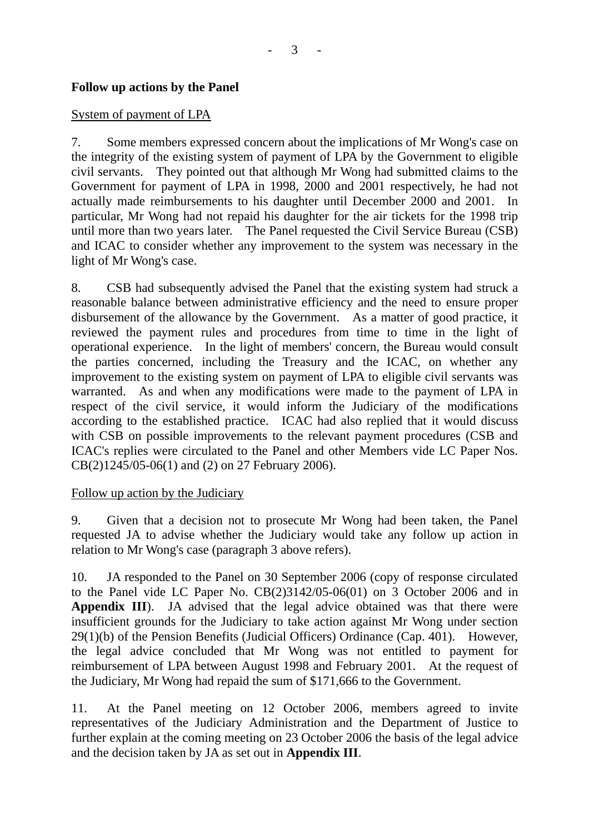#### **Follow up actions by the Panel**

#### System of payment of LPA

7. Some members expressed concern about the implications of Mr Wong's case on the integrity of the existing system of payment of LPA by the Government to eligible civil servants. They pointed out that although Mr Wong had submitted claims to the Government for payment of LPA in 1998, 2000 and 2001 respectively, he had not actually made reimbursements to his daughter until December 2000 and 2001. In particular, Mr Wong had not repaid his daughter for the air tickets for the 1998 trip until more than two years later. The Panel requested the Civil Service Bureau (CSB) and ICAC to consider whether any improvement to the system was necessary in the light of Mr Wong's case.

8. CSB had subsequently advised the Panel that the existing system had struck a reasonable balance between administrative efficiency and the need to ensure proper disbursement of the allowance by the Government. As a matter of good practice, it reviewed the payment rules and procedures from time to time in the light of operational experience. In the light of members' concern, the Bureau would consult the parties concerned, including the Treasury and the ICAC, on whether any improvement to the existing system on payment of LPA to eligible civil servants was warranted. As and when any modifications were made to the payment of LPA in respect of the civil service, it would inform the Judiciary of the modifications according to the established practice. ICAC had also replied that it would discuss with CSB on possible improvements to the relevant payment procedures (CSB and ICAC's replies were circulated to the Panel and other Members vide LC Paper Nos. CB(2)1245/05-06(1) and (2) on 27 February 2006).

#### Follow up action by the Judiciary

9. Given that a decision not to prosecute Mr Wong had been taken, the Panel requested JA to advise whether the Judiciary would take any follow up action in relation to Mr Wong's case (paragraph 3 above refers).

10. JA responded to the Panel on 30 September 2006 (copy of response circulated to the Panel vide LC Paper No. CB(2)3142/05-06(01) on 3 October 2006 and in **Appendix III**). JA advised that the legal advice obtained was that there were insufficient grounds for the Judiciary to take action against Mr Wong under section 29(1)(b) of the Pension Benefits (Judicial Officers) Ordinance (Cap. 401). However, the legal advice concluded that Mr Wong was not entitled to payment for reimbursement of LPA between August 1998 and February 2001. At the request of the Judiciary, Mr Wong had repaid the sum of \$171,666 to the Government.

11. At the Panel meeting on 12 October 2006, members agreed to invite representatives of the Judiciary Administration and the Department of Justice to further explain at the coming meeting on 23 October 2006 the basis of the legal advice and the decision taken by JA as set out in **Appendix III**.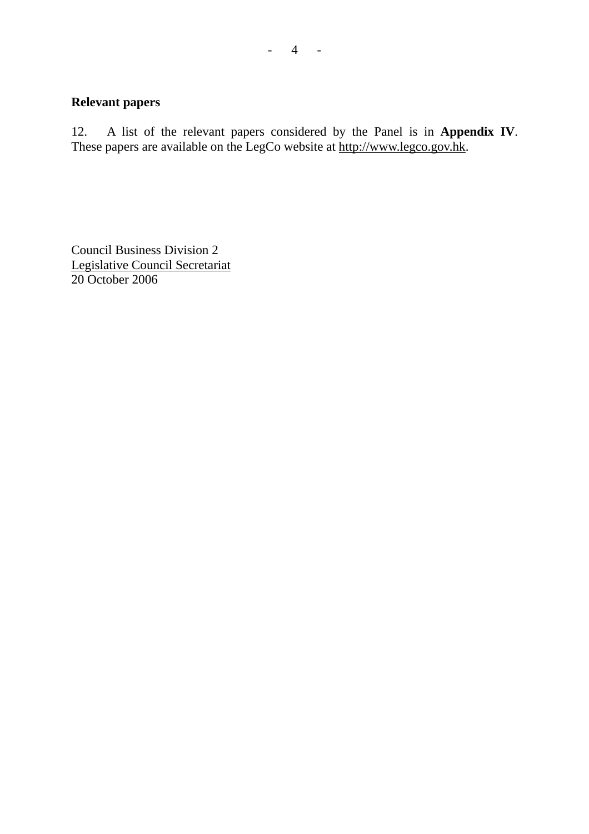#### **Relevant papers**

12. A list of the relevant papers considered by the Panel is in **Appendix IV**. These papers are available on the LegCo website at http://www.legco.gov.hk.

Council Business Division 2 Legislative Council Secretariat 20 October 2006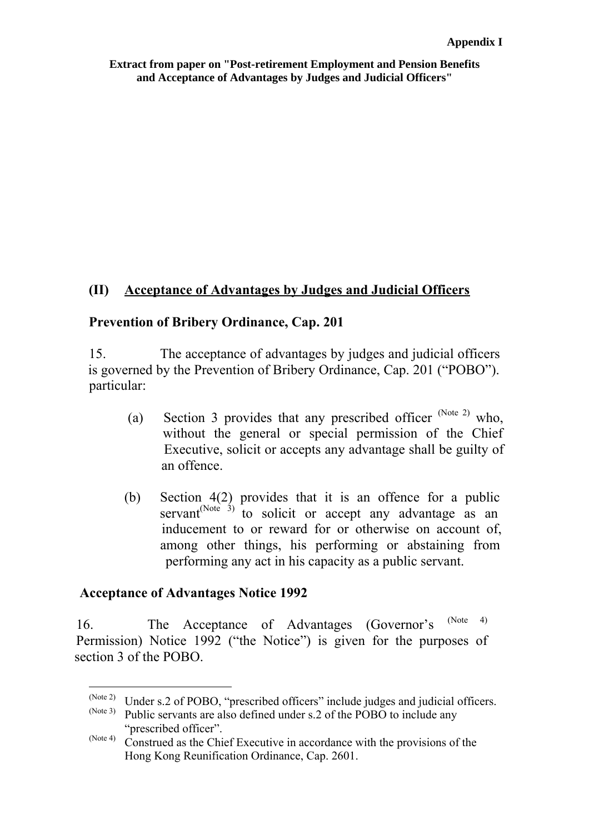**Extract from paper on "Post-retirement Employment and Pension Benefits and Acceptance of Advantages by Judges and Judicial Officers"**

## **(II) Acceptance of Advantages by Judges and Judicial Officers**

### **Prevention of Bribery Ordinance, Cap. 201**

 15. The acceptance of advantages by judges and judicial officers is governed by the Prevention of Bribery Ordinance, Cap. 201 ("POBO"). narticular:

- (a) Section 3 provides that any prescribed officer  $^{(Note 2)}$  $^{(Note 2)}$  $^{(Note 2)}$  who, without the general or special permission of the Chief Executive, solicit or accepts any advantage shall be guilty of an offence.
- (b) Section 4(2) provides that it is an offence for a public servant<sup>(Note  $\hat{3}$ )</sup> to solicit or accept any advantage as an inducement to or reward for or otherwise on account of, among other things, his performing or abstaining from performing any act in his capacity as a public servant.

#### **Acceptance of Advantages Notice 1992**

 16. The Acceptance of Advantages (Governor's (No[te 4\)](#page-4-2) Permission) Notice 1992 ("the Notice") is given for the purposes of section 3 of the POBO.

 $(Note 2)$ (Note 2) Under s.2 of POBO, "prescribed officers" include judges and judicial officers.<br>(Note 3) Public corrents are also defined under a 2 of the POBO to include any

<span id="page-4-1"></span><span id="page-4-0"></span>Public servants are also defined under s.2 of the POBO to include any "prescribed officer".

<span id="page-4-2"></span><sup>(</sup>Note 4) Construed as the Chief Executive in accordance with the provisions of the Hong Kong Reunification Ordinance, Cap. 2601.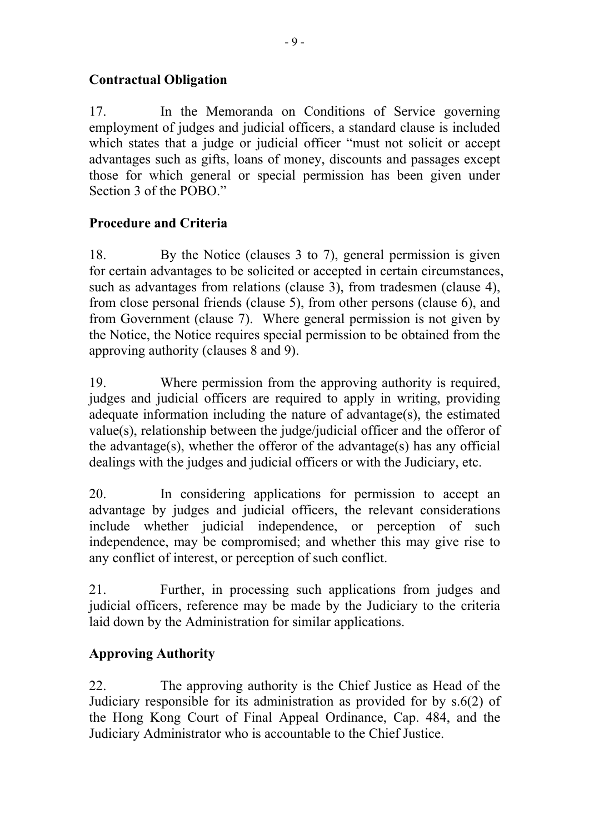# **Contractual Obligation**

17. In the Memoranda on Conditions of Service governing employment of judges and judicial officers, a standard clause is included which states that a judge or judicial officer "must not solicit or accept advantages such as gifts, loans of money, discounts and passages except those for which general or special permission has been given under Section 3 of the POBO."

# **Procedure and Criteria**

18. By the Notice (clauses 3 to 7), general permission is given for certain advantages to be solicited or accepted in certain circumstances, such as advantages from relations (clause 3), from tradesmen (clause 4), from close personal friends (clause 5), from other persons (clause 6), and from Government (clause 7). Where general permission is not given by the Notice, the Notice requires special permission to be obtained from the approving authority (clauses 8 and 9).

19. Where permission from the approving authority is required, judges and judicial officers are required to apply in writing, providing adequate information including the nature of advantage(s), the estimated value(s), relationship between the judge/judicial officer and the offeror of the advantage(s), whether the offeror of the advantage(s) has any official dealings with the judges and judicial officers or with the Judiciary, etc.

20. In considering applications for permission to accept an advantage by judges and judicial officers, the relevant considerations include whether judicial independence, or perception of such independence, may be compromised; and whether this may give rise to any conflict of interest, or perception of such conflict.

21. Further, in processing such applications from judges and judicial officers, reference may be made by the Judiciary to the criteria laid down by the Administration for similar applications.

# **Approving Authority**

22. The approving authority is the Chief Justice as Head of the Judiciary responsible for its administration as provided for by s.6(2) of the Hong Kong Court of Final Appeal Ordinance, Cap. 484, and the Judiciary Administrator who is accountable to the Chief Justice.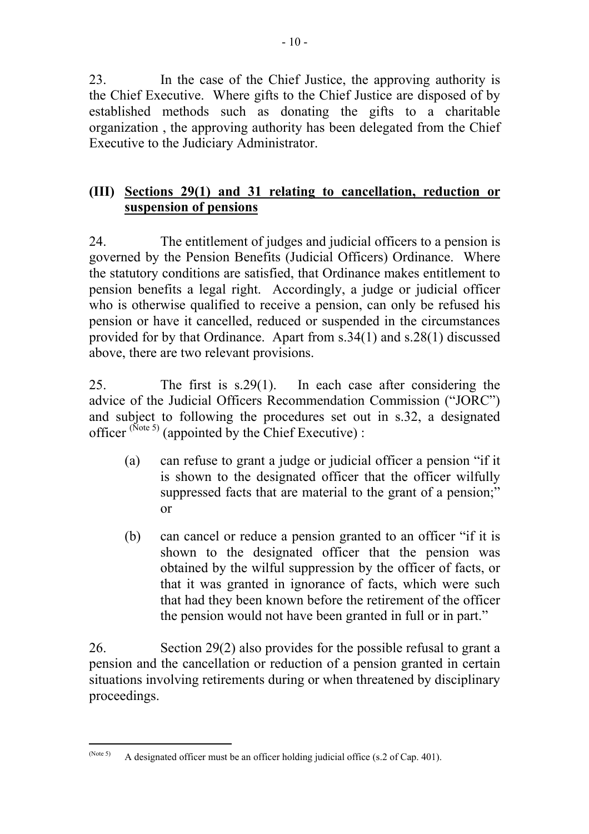23. In the case of the Chief Justice, the approving authority is the Chief Executive. Where gifts to the Chief Justice are disposed of by established methods such as donating the gifts to a charitable organization , the approving authority has been delegated from the Chief Executive to the Judiciary Administrator.

## **(III) Sections 29(1) and 31 relating to cancellation, reduction or suspension of pensions**

24. The entitlement of judges and judicial officers to a pension is governed by the Pension Benefits (Judicial Officers) Ordinance. Where the statutory conditions are satisfied, that Ordinance makes entitlement to pension benefits a legal right. Accordingly, a judge or judicial officer who is otherwise qualified to receive a pension, can only be refused his pension or have it cancelled, reduced or suspended in the circumstances provided for by that Ordinance. Apart from s.34(1) and s.28(1) discussed above, there are two relevant provisions.

25. The first is s.29(1). In each case after considering the advice of the Judicial Officers Recommendation Commission ("JORC") and subject to following the procedures set out in s.32, a designated officer  $^{(\text{Note 5})}$  (appointed by the Chief Executive) :

- (a) can refuse to grant a judge or judicial officer a pension "if it is shown to the designated officer that the officer wilfully suppressed facts that are material to the grant of a pension;" or
- (b) can cancel or reduce a pension granted to an officer "if it is shown to the designated officer that the pension was obtained by the wilful suppression by the officer of facts, or that it was granted in ignorance of facts, which were such that had they been known before the retirement of the officer the pension would not have been granted in full or in part."

26. Section 29(2) also provides for the possible refusal to grant a pension and the cancellation or reduction of a pension granted in certain situations involving retirements during or when threatened by disciplinary proceedings.

<span id="page-6-0"></span> $(Note 5)$ A designated officer must be an officer holding judicial office (s.2 of Cap. 401).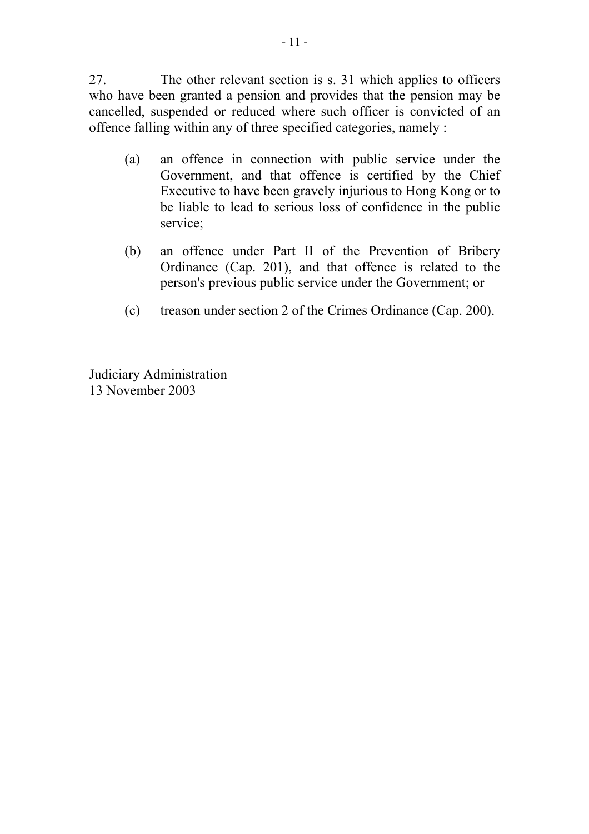27. The other relevant section is s. 31 which applies to officers who have been granted a pension and provides that the pension may be cancelled, suspended or reduced where such officer is convicted of an offence falling within any of three specified categories, namely :

- (a) an offence in connection with public service under the Government, and that offence is certified by the Chief Executive to have been gravely injurious to Hong Kong or to be liable to lead to serious loss of confidence in the public service;
- (b) an offence under Part II of the Prevention of Bribery Ordinance (Cap. 201), and that offence is related to the person's previous public service under the Government; or
- (c) treason under section 2 of the Crimes Ordinance (Cap. 200).

Judiciary Administration 13 November 2003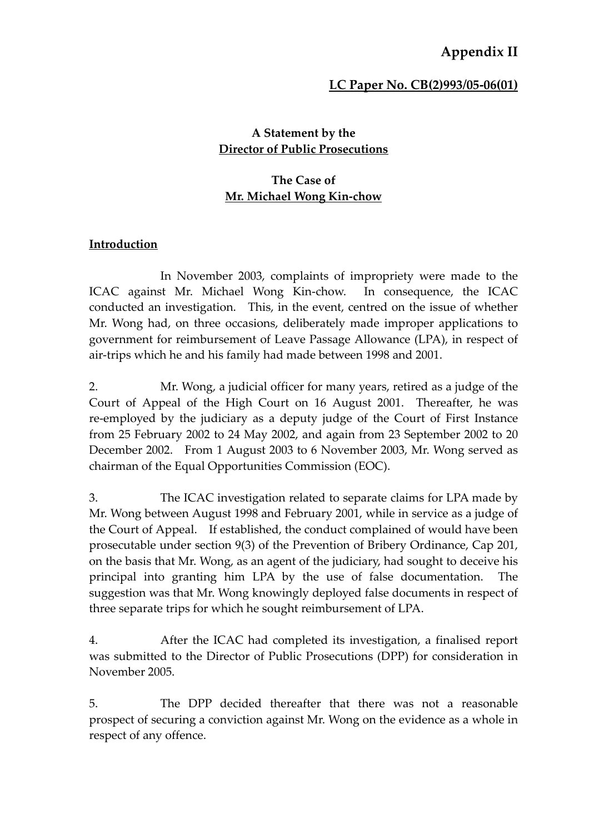# **Appendix II**

#### **LC Paper No. CB(2)993/05‐06(01)**

#### **A Statement by the Director of Public Prosecutions**

### **The Case of Mr. Michael Wong Kin‐chow**

#### **Introduction**

In November 2003, complaints of impropriety were made to the ICAC against Mr. Michael Wong Kin‐chow. In consequence, the ICAC conducted an investigation. This, in the event, centred on the issue of whether Mr. Wong had, on three occasions, deliberately made improper applications to government for reimbursement of Leave Passage Allowance (LPA), in respect of air‐trips which he and his family had made between 1998 and 2001.

2. Mr. Wong, a judicial officer for many years, retired as a judge of the Court of Appeal of the High Court on 16 August 2001. Thereafter, he was re‐employed by the judiciary as a deputy judge of the Court of First Instance from 25 February 2002 to 24 May 2002, and again from 23 September 2002 to 20 December 2002. From 1 August 2003 to 6 November 2003, Mr. Wong served as chairman of the Equal Opportunities Commission (EOC).

3. The ICAC investigation related to separate claims for LPA made by Mr. Wong between August 1998 and February 2001, while in service as a judge of the Court of Appeal. If established, the conduct complained of would have been prosecutable under section 9(3) of the Prevention of Bribery Ordinance, Cap 201, on the basis that Mr. Wong, as an agent of the judiciary, had sought to deceive his principal into granting him LPA by the use of false documentation. The suggestion was that Mr. Wong knowingly deployed false documents in respect of three separate trips for which he sought reimbursement of LPA.

4. After the ICAC had completed its investigation, a finalised report was submitted to the Director of Public Prosecutions (DPP) for consideration in November 2005.

5. The DPP decided thereafter that there was not a reasonable prospect of securing a conviction against Mr. Wong on the evidence as a whole in respect of any offence.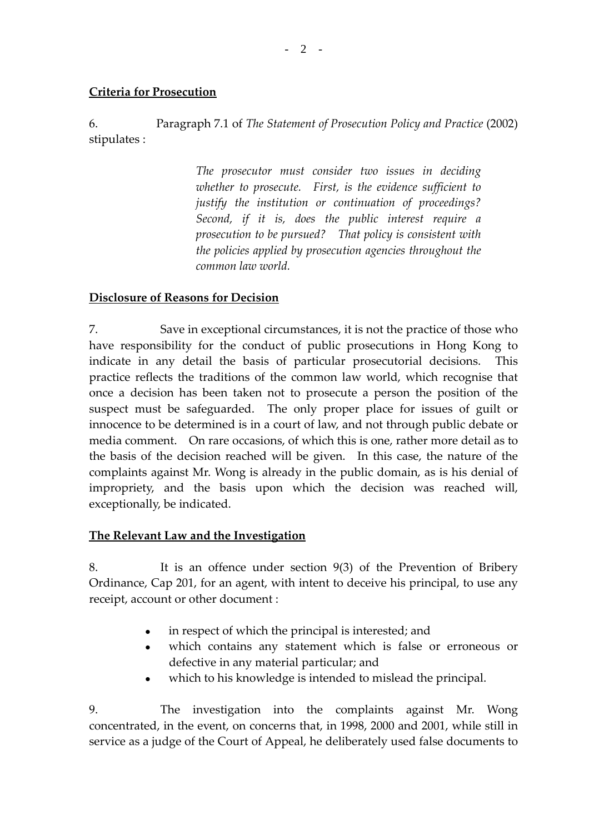#### **Criteria for Prosecution**

6. Paragraph 7.1 of *The Statement of Prosecution Policy and Practice* (2002) stipulates :

> *The prosecutor must consider two issues in deciding whether to prosecute. First, is the evidence sufficient to justify the institution or continuation of proceedings? Second, if it is, does the public interest require a prosecution to be pursued? That policy is consistent with the policies applied by prosecution agencies throughout the common law world.*

#### **Disclosure of Reasons for Decision**

7. Save in exceptional circumstances, it is not the practice of those who have responsibility for the conduct of public prosecutions in Hong Kong to indicate in any detail the basis of particular prosecutorial decisions. This practice reflects the traditions of the common law world, which recognise that once a decision has been taken not to prosecute a person the position of the suspect must be safeguarded. The only proper place for issues of guilt or innocence to be determined is in a court of law, and not through public debate or media comment. On rare occasions, of which this is one, rather more detail as to the basis of the decision reached will be given. In this case, the nature of the complaints against Mr. Wong is already in the public domain, as is his denial of impropriety, and the basis upon which the decision was reached will, exceptionally, be indicated.

#### **The Relevant Law and the Investigation**

8. It is an offence under section 9(3) of the Prevention of Bribery Ordinance, Cap 201, for an agent, with intent to deceive his principal, to use any receipt, account or other document :

- in respect of which the principal is interested; and
- which contains any statement which is false or erroneous or defective in any material particular; and
- which to his knowledge is intended to mislead the principal.

9. The investigation into the complaints against Mr. Wong concentrated, in the event, on concerns that, in 1998, 2000 and 2001, while still in service as a judge of the Court of Appeal, he deliberately used false documents to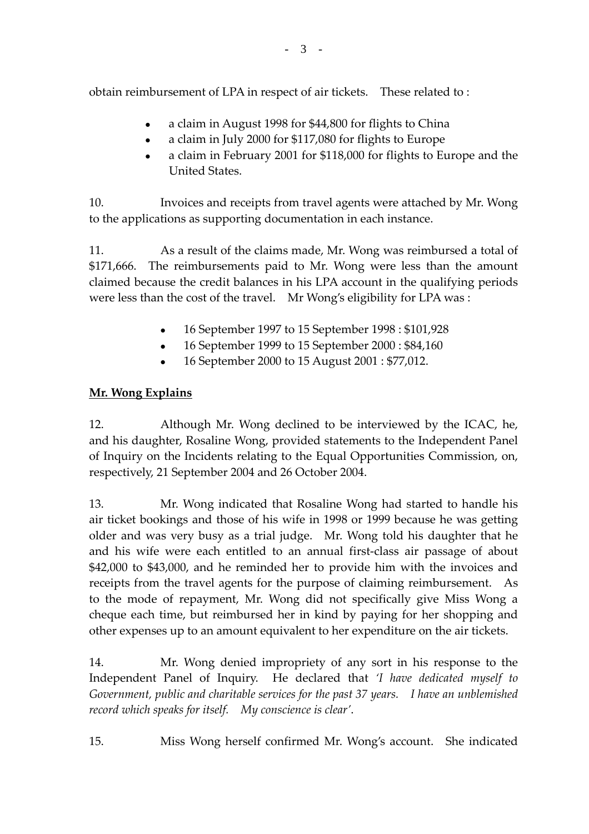obtain reimbursement of LPA in respect of air tickets. These related to:

- <sup>z</sup> a claim in August 1998 for \$44,800 for flights to China
- a claim in July 2000 for \$117,080 for flights to Europe
- a claim in February 2001 for \$118,000 for flights to Europe and the United States.

10. Invoices and receipts from travel agents were attached by Mr. Wong to the applications as supporting documentation in each instance.

11. As a result of the claims made, Mr. Wong was reimbursed a total of \$171,666. The reimbursements paid to Mr. Wong were less than the amount claimed because the credit balances in his LPA account in the qualifying periods were less than the cost of the travel. Mr Wong's eligibility for LPA was :

- 16 September 1997 to 15 September 1998 : \$101,928
- $\bullet$  16 September 1999 to 15 September 2000 : \$84,160
- <sup>z</sup> 16 September 2000 to 15 August 2001 : \$77,012.

## **Mr. Wong Explains**

12. Although Mr. Wong declined to be interviewed by the ICAC, he, and his daughter, Rosaline Wong, provided statements to the Independent Panel of Inquiry on the Incidents relating to the Equal Opportunities Commission, on, respectively, 21 September 2004 and 26 October 2004.

13. Mr. Wong indicated that Rosaline Wong had started to handle his air ticket bookings and those of his wife in 1998 or 1999 because he was getting older and was very busy as a trial judge. Mr. Wong told his daughter that he and his wife were each entitled to an annual first‐class air passage of about \$42,000 to \$43,000, and he reminded her to provide him with the invoices and receipts from the travel agents for the purpose of claiming reimbursement. As to the mode of repayment, Mr. Wong did not specifically give Miss Wong a cheque each time, but reimbursed her in kind by paying for her shopping and other expenses up to an amount equivalent to her expenditure on the air tickets.

14. Mr. Wong denied impropriety of any sort in his response to the Independent Panel of Inquiry. He declared that *'I have dedicated myself to Government, public and charitable services for the past 37 years. I have an unblemished record which speaks for itself. My conscience is clear'*.

15. Miss Wong herself confirmed Mr. Wong's account. She indicated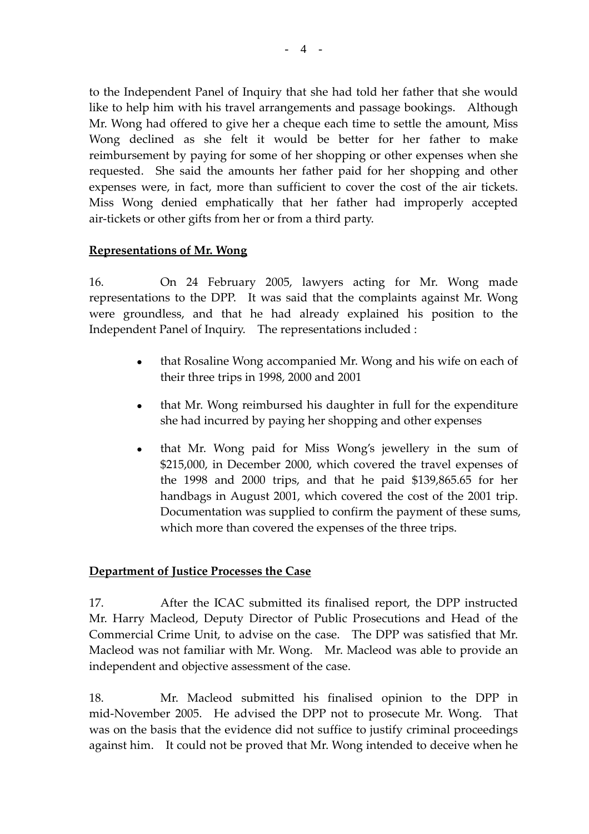to the Independent Panel of Inquiry that she had told her father that she would like to help him with his travel arrangements and passage bookings. Although Mr. Wong had offered to give her a cheque each time to settle the amount, Miss Wong declined as she felt it would be better for her father to make reimbursement by paying for some of her shopping or other expenses when she requested. She said the amounts her father paid for her shopping and other expenses were, in fact, more than sufficient to cover the cost of the air tickets. Miss Wong denied emphatically that her father had improperly accepted air‐tickets or other gifts from her or from a third party.

#### **Representations of Mr. Wong**

16. On 24 February 2005, lawyers acting for Mr. Wong made representations to the DPP. It was said that the complaints against Mr. Wong were groundless, and that he had already explained his position to the Independent Panel of Inquiry. The representations included :

- that Rosaline Wong accompanied Mr. Wong and his wife on each of their three trips in 1998, 2000 and 2001
- that Mr. Wong reimbursed his daughter in full for the expenditure she had incurred by paying her shopping and other expenses
- that Mr. Wong paid for Miss Wong's jewellery in the sum of \$215,000, in December 2000, which covered the travel expenses of the 1998 and 2000 trips, and that he paid \$139,865.65 for her handbags in August 2001, which covered the cost of the 2001 trip. Documentation was supplied to confirm the payment of these sums, which more than covered the expenses of the three trips.

#### **Department of Justice Processes the Case**

17. After the ICAC submitted its finalised report, the DPP instructed Mr. Harry Macleod, Deputy Director of Public Prosecutions and Head of the Commercial Crime Unit, to advise on the case. The DPP was satisfied that Mr. Macleod was not familiar with Mr. Wong. Mr. Macleod was able to provide an independent and objective assessment of the case.

18. Mr. Macleod submitted his finalised opinion to the DPP in mid-November 2005. He advised the DPP not to prosecute Mr. Wong. That was on the basis that the evidence did not suffice to justify criminal proceedings against him. It could not be proved that Mr. Wong intended to deceive when he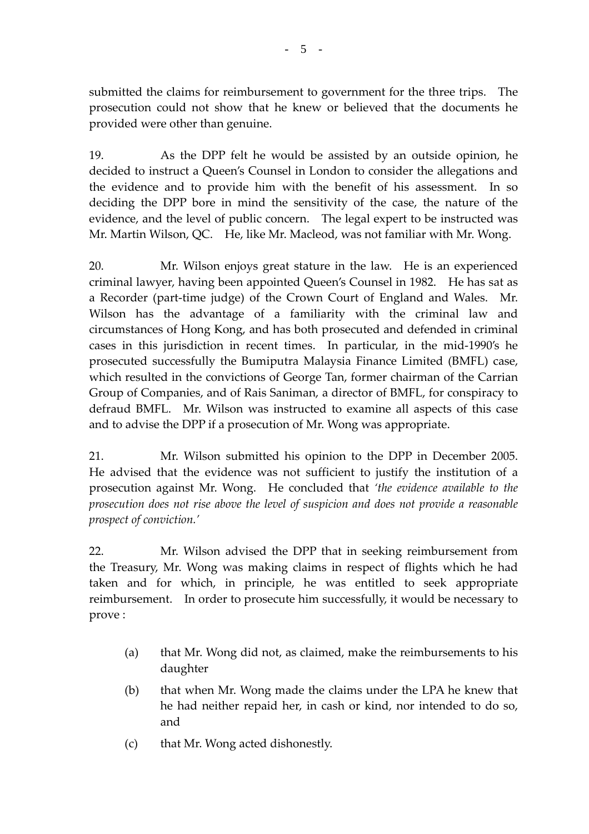submitted the claims for reimbursement to government for the three trips. The prosecution could not show that he knew or believed that the documents he provided were other than genuine.

19. As the DPP felt he would be assisted by an outside opinion, he decided to instruct a Queen's Counsel in London to consider the allegations and the evidence and to provide him with the benefit of his assessment. In so deciding the DPP bore in mind the sensitivity of the case, the nature of the evidence, and the level of public concern. The legal expert to be instructed was Mr. Martin Wilson, QC. He, like Mr. Macleod, was not familiar with Mr. Wong.

20. Mr. Wilson enjoys great stature in the law. He is an experienced criminal lawyer, having been appointed Queen's Counsel in 1982. He has sat as a Recorder (part‐time judge) of the Crown Court of England and Wales. Mr. Wilson has the advantage of a familiarity with the criminal law and circumstances of Hong Kong, and has both prosecuted and defended in criminal cases in this jurisdiction in recent times. In particular, in the mid‐1990's he prosecuted successfully the Bumiputra Malaysia Finance Limited (BMFL) case, which resulted in the convictions of George Tan, former chairman of the Carrian Group of Companies, and of Rais Saniman, a director of BMFL, for conspiracy to defraud BMFL. Mr. Wilson was instructed to examine all aspects of this case and to advise the DPP if a prosecution of Mr. Wong was appropriate.

21. Mr. Wilson submitted his opinion to the DPP in December 2005. He advised that the evidence was not sufficient to justify the institution of a prosecution against Mr. Wong. He concluded that *'the evidence available to the prosecution does not rise above the level of suspicion and does not provide a reasonable prospect of conviction.'*

22. Mr. Wilson advised the DPP that in seeking reimbursement from the Treasury, Mr. Wong was making claims in respect of flights which he had taken and for which, in principle, he was entitled to seek appropriate reimbursement. In order to prosecute him successfully, it would be necessary to prove :

- (a) that Mr. Wong did not, as claimed, make the reimbursements to his daughter
- (b) that when Mr. Wong made the claims under the LPA he knew that he had neither repaid her, in cash or kind, nor intended to do so, and
- (c) that Mr. Wong acted dishonestly.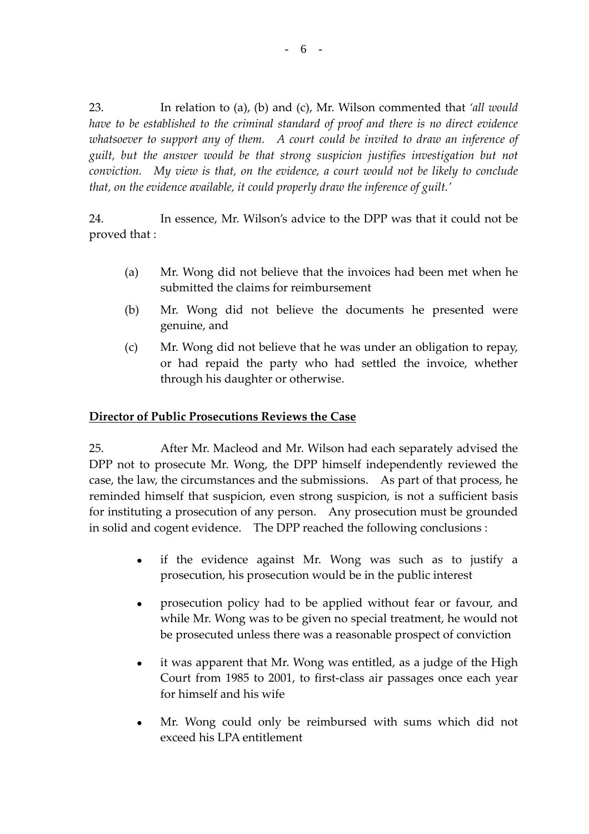23. In relation to (a), (b) and (c), Mr. Wilson commented that *'all would have to be established to the criminal standard of proof and there is no direct evidence whatsoever to support any of them. A court could be invited to draw an inference of guilt, but the answer would be that strong suspicion justifies investigation but not conviction. My view is that, on the evidence, a court would not be likely to conclude that, on the evidence available, it could properly draw the inference of guilt.'*

24. In essence, Mr. Wilson's advice to the DPP was that it could not be proved that :

- (a) Mr. Wong did not believe that the invoices had been met when he submitted the claims for reimbursement
- (b) Mr. Wong did not believe the documents he presented were genuine, and
- (c) Mr. Wong did not believe that he was under an obligation to repay, or had repaid the party who had settled the invoice, whether through his daughter or otherwise.

#### **Director of Public Prosecutions Reviews the Case**

25. After Mr. Macleod and Mr. Wilson had each separately advised the DPP not to prosecute Mr. Wong, the DPP himself independently reviewed the case, the law, the circumstances and the submissions. As part of that process, he reminded himself that suspicion, even strong suspicion, is not a sufficient basis for instituting a prosecution of any person. Any prosecution must be grounded in solid and cogent evidence. The DPP reached the following conclusions :

- if the evidence against Mr. Wong was such as to justify a prosecution, his prosecution would be in the public interest
- prosecution policy had to be applied without fear or favour, and while Mr. Wong was to be given no special treatment, he would not be prosecuted unless there was a reasonable prospect of conviction
- it was apparent that Mr. Wong was entitled, as a judge of the High Court from 1985 to 2001, to first‐class air passages once each year for himself and his wife
- Mr. Wong could only be reimbursed with sums which did not exceed his LPA entitlement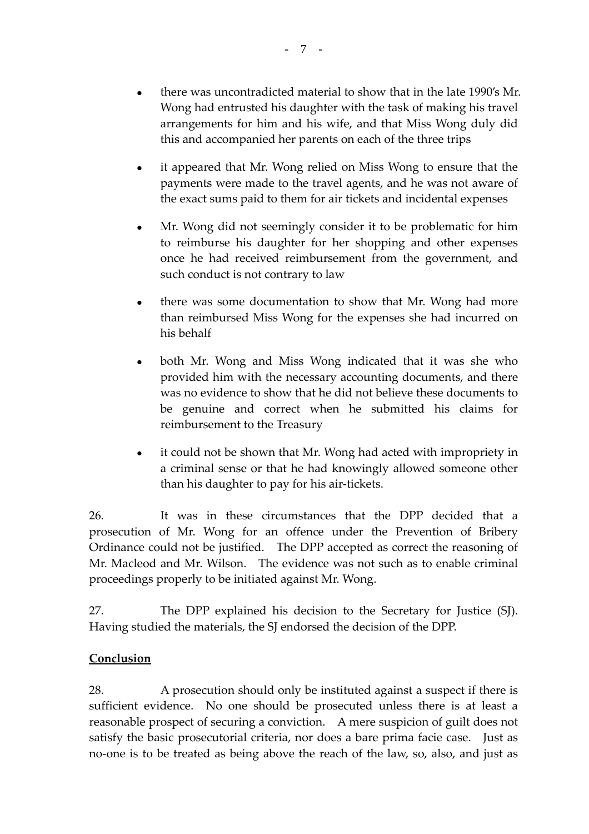- there was uncontradicted material to show that in the late 1990's Mr. Wong had entrusted his daughter with the task of making his travel arrangements for him and his wife, and that Miss Wong duly did this and accompanied her parents on each of the three trips
- it appeared that Mr. Wong relied on Miss Wong to ensure that the payments were made to the travel agents, and he was not aware of the exact sums paid to them for air tickets and incidental expenses
- Mr. Wong did not seemingly consider it to be problematic for him to reimburse his daughter for her shopping and other expenses once he had received reimbursement from the government, and such conduct is not contrary to law
- there was some documentation to show that Mr. Wong had more than reimbursed Miss Wong for the expenses she had incurred on his behalf
- both Mr. Wong and Miss Wong indicated that it was she who provided him with the necessary accounting documents, and there was no evidence to show that he did not believe these documents to be genuine and correct when he submitted his claims for reimbursement to the Treasury
- it could not be shown that Mr. Wong had acted with impropriety in a criminal sense or that he had knowingly allowed someone other than his daughter to pay for his air‐tickets.

26. It was in these circumstances that the DPP decided that a prosecution of Mr. Wong for an offence under the Prevention of Bribery Ordinance could not be justified. The DPP accepted as correct the reasoning of Mr. Macleod and Mr. Wilson. The evidence was not such as to enable criminal proceedings properly to be initiated against Mr. Wong.

27. The DPP explained his decision to the Secretary for Justice (SJ). Having studied the materials, the SJ endorsed the decision of the DPP.

## **Conclusion**

28. A prosecution should only be instituted against a suspect if there is sufficient evidence. No one should be prosecuted unless there is at least a reasonable prospect of securing a conviction. A mere suspicion of guilt does not satisfy the basic prosecutorial criteria, nor does a bare prima facie case. Just as no‐one is to be treated as being above the reach of the law, so, also, and just as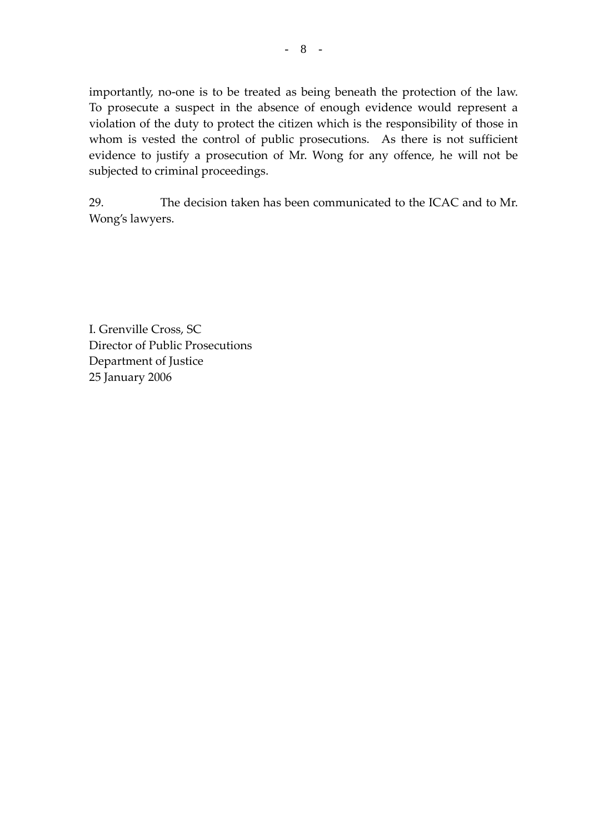importantly, no-one is to be treated as being beneath the protection of the law. To prosecute a suspect in the absence of enough evidence would represent a violation of the duty to protect the citizen which is the responsibility of those in whom is vested the control of public prosecutions. As there is not sufficient evidence to justify a prosecution of Mr. Wong for any offence, he will not be subjected to criminal proceedings.

29. The decision taken has been communicated to the ICAC and to Mr. Wong's lawyers.

I. Grenville Cross, SC Director of Public Prosecutions Department of Justice 25 January 2006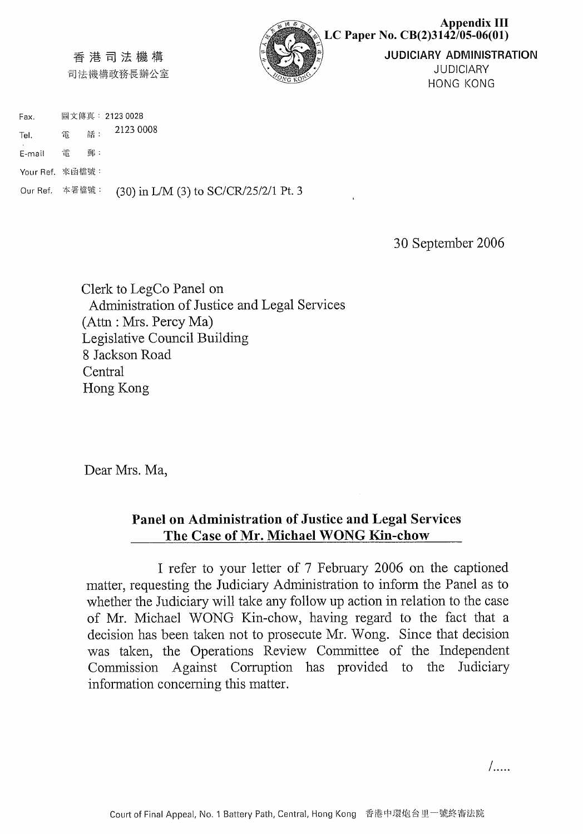

#### 香港司法機構

司法機構政務長辦公室

圖文傳真: 2123 0028 Fax. 2123 0008 話: 雷 Tel.

E-mail 雷 郵:

Your Ref. 來函檔號:

Our Ref. 本署檔號: (30) in L/M (3) to SC/CR/25/2/1 Pt. 3

30 September 2006

Clerk to LegCo Panel on Administration of Justice and Legal Services (Attn: Mrs. Percy Ma) Legislative Council Building 8 Jackson Road Central Hong Kong

Dear Mrs. Ma,

## Panel on Administration of Justice and Legal Services The Case of Mr. Michael WONG Kin-chow

I refer to your letter of 7 February 2006 on the captioned matter, requesting the Judiciary Administration to inform the Panel as to whether the Judiciary will take any follow up action in relation to the case of Mr. Michael WONG Kin-chow, having regard to the fact that a decision has been taken not to prosecute Mr. Wong. Since that decision was taken, the Operations Review Committee of the Independent Commission Against Corruption has provided to the Judiciary information concerning this matter.

 $\overline{a}$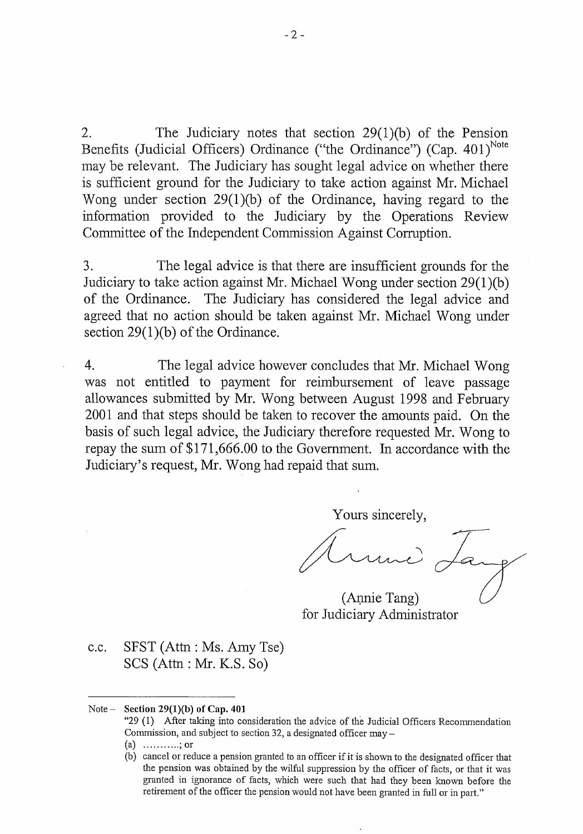The Judiciary notes that section  $29(1)(b)$  of the Pension  $2.$ Benefits (Judicial Officers) Ordinance ("the Ordinance") (Cap. 401)<sup>Note</sup> may be relevant. The Judiciary has sought legal advice on whether there is sufficient ground for the Judiciary to take action against Mr. Michael Wong under section  $29(1)(b)$  of the Ordinance, having regard to the information provided to the Judiciary by the Operations Review Committee of the Independent Commission Against Corruption.

3. The legal advice is that there are insufficient grounds for the Judiciary to take action against Mr. Michael Wong under section 29(1)(b) of the Ordinance. The Judiciary has considered the legal advice and agreed that no action should be taken against Mr. Michael Wong under section  $29(1)(b)$  of the Ordinance.

 $\overline{4}$ The legal advice however concludes that Mr. Michael Wong was not entitled to payment for reimbursement of leave passage allowances submitted by Mr. Wong between August 1998 and February 2001 and that steps should be taken to recover the amounts paid. On the basis of such legal advice, the Judiciary therefore requested Mr. Wong to repay the sum of \$171,666.00 to the Government. In accordance with the Judiciary's request, Mr. Wong had repaid that sum.

Yours sincerely,

(Annie Tang) for Judiciary Administrator

SFST (Attn: Ms. Amy Tse)  $c.c.$  $SCS$  (Attn: Mr. K.S. So)

#### $Note -$ Section 29(1)(b) of Cap.  $401$

- "29 (1) After taking into consideration the advice of the Judicial Officers Recommendation Commission, and subject to section 32, a designated officer may -
- (a) ...........; or
- (b) cancel or reduce a pension granted to an officer if it is shown to the designated officer that the pension was obtained by the wilful suppression by the officer of facts, or that it was granted in ignorance of facts, which were such that had they been known before the retirement of the officer the pension would not have been granted in full or in part."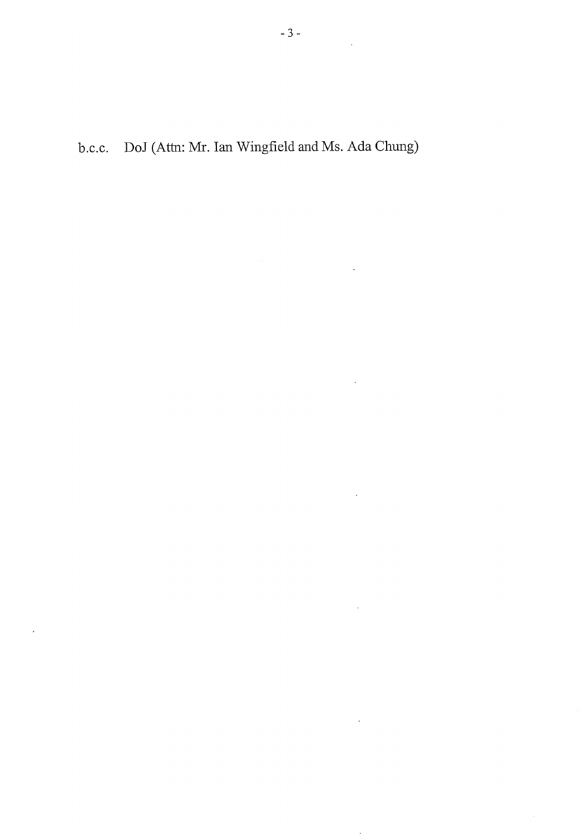$\frac{1}{2}$ 

 $\ddot{\phantom{a}}$ 

 $\ddot{\phantom{a}}$ 

 $\ddot{\phantom{a}}$ 

b.c.c. DoJ (Attn: Mr. Ian Wingfield and Ms. Ada Chung)

 $\overline{\phantom{a}}$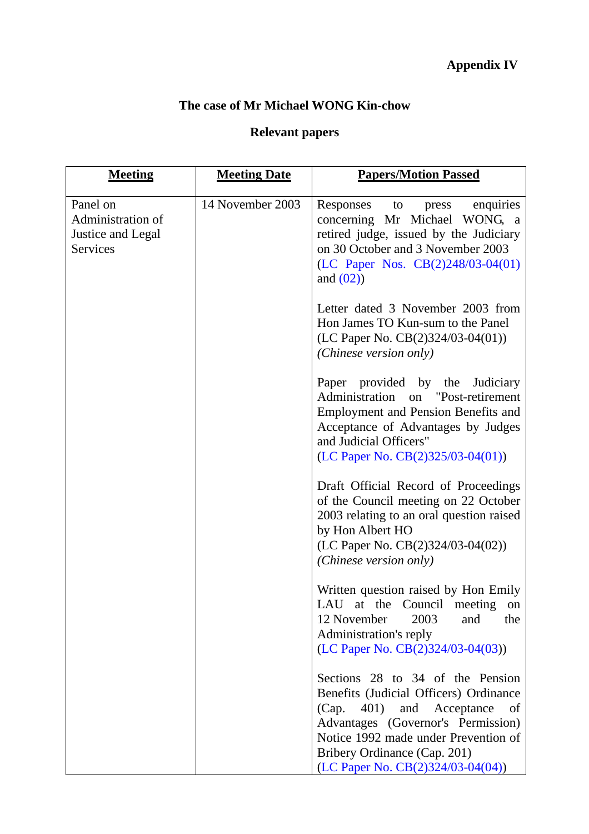## **The case of Mr Michael WONG Kin-chow**

# **Relevant papers**

| <b>Meeting</b>                                                 | <b>Meeting Date</b> | <b>Papers/Motion Passed</b>                                                                                                                                                                                                                                         |
|----------------------------------------------------------------|---------------------|---------------------------------------------------------------------------------------------------------------------------------------------------------------------------------------------------------------------------------------------------------------------|
| Panel on<br>Administration of<br>Justice and Legal<br>Services | 14 November 2003    | enquiries<br>Responses<br>to<br>press<br>concerning Mr Michael WONG, a<br>retired judge, issued by the Judiciary<br>on 30 October and 3 November 2003<br>(LC Paper Nos. CB(2)248/03-04(01)<br>and $(02)$                                                            |
|                                                                |                     | Letter dated 3 November 2003 from<br>Hon James TO Kun-sum to the Panel<br>(LC Paper No. $CB(2)324/03-04(01))$<br>(Chinese version only)                                                                                                                             |
|                                                                |                     | Paper provided by the Judiciary<br>Administration on "Post-retirement<br><b>Employment and Pension Benefits and</b><br>Acceptance of Advantages by Judges<br>and Judicial Officers"<br>$(LC$ Paper No. $CB(2)325/03-04(01))$                                        |
|                                                                |                     | Draft Official Record of Proceedings<br>of the Council meeting on 22 October<br>2003 relating to an oral question raised<br>by Hon Albert HO<br>(LC Paper No. $CB(2)324/03-04(02))$<br>(Chinese version only)                                                       |
|                                                                |                     | Written question raised by Hon Emily<br>LAU at the Council meeting on<br>2003<br>12 November<br>and<br>the<br>Administration's reply<br>(LC Paper No. CB(2)324/03-04(03))                                                                                           |
|                                                                |                     | Sections 28 to 34 of the Pension<br>Benefits (Judicial Officers) Ordinance<br>(Cap.<br>401) and Acceptance<br>of<br>Advantages (Governor's Permission)<br>Notice 1992 made under Prevention of<br>Bribery Ordinance (Cap. 201)<br>(LC Paper No. CB(2)324/03-04(04)) |